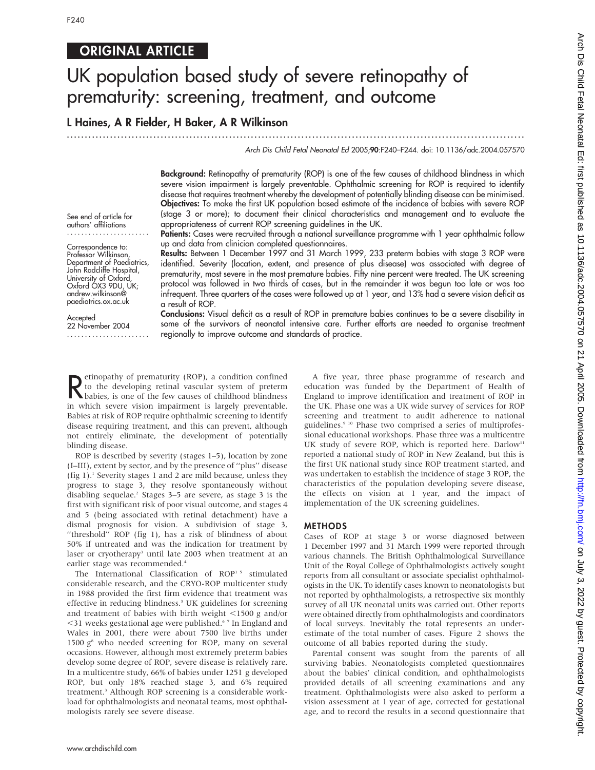# ORIGINAL ARTICLE

# UK population based study of severe retinopathy of prematurity: screening, treatment, and outcome

## L Haines, A R Fielder, H Baker, A R Wilkinson

...............................................................................................................................

## Arch Dis Child Fetal Neonatal Ed 2005;90:F240–F244. doi: 10.1136/adc.2004.057570

Background: Retinopathy of prematurity (ROP) is one of the few causes of childhood blindness in which severe vision impairment is largely preventable. Ophthalmic screening for ROP is required to identify disease that requires treatment whereby the development of potentially blinding disease can be minimised. Objectives: To make the first UK population based estimate of the incidence of babies with severe ROP (stage 3 or more); to document their clinical characteristics and management and to evaluate the appropriateness of current ROP screening guidelines in the UK.

Patients: Cases were recruited through a national surveillance programme with 1 year ophthalmic follow up and data from clinician completed questionnaires.

Results: Between 1 December 1997 and 31 March 1999, 233 preterm babies with stage 3 ROP were identified. Severity (location, extent, and presence of plus disease) was associated with degree of prematurity, most severe in the most premature babies. Fifty nine percent were treated. The UK screening protocol was followed in two thirds of cases, but in the remainder it was begun too late or was too infrequent. Three quarters of the cases were followed up at 1 year, and 13% had a severe vision deficit as a result of ROP.

**Accepted** 22 November 2004 .......................

See end of article for authors' affiliations ....................... Correspondence to: Professor Wilkinson, Department of Paediatrics, John Radcliffe Hospital, University of Oxford, Oxford OX3 9DU, UK; andrew.wilkinson@ paediatrics.ox.ac.uk

> Conclusions: Visual deficit as a result of ROP in premature babies continues to be a severe disability in some of the survivors of neonatal intensive care. Further efforts are needed to organise treatment regionally to improve outcome and standards of practice.

Rethopathy of prematurity (ROP), a condition confined<br>to the developing retinal vascular system of preterm<br>in which, is one of the few causes of childhood blindness etinopathy of prematurity (ROP), a condition confined<br>to the developing retinal vascular system of preterm babies, is one of the few causes of childhood blindness in which severe vision impairment is largely preventable. Babies at risk of ROP require ophthalmic screening to identify disease requiring treatment, and this can prevent, although not entirely eliminate, the development of potentially blinding disease.

ROP is described by severity (stages 1–5), location by zone (I–III), extent by sector, and by the presence of ''plus'' disease (fig 1).1 Severity stages 1 and 2 are mild because, unless they progress to stage 3, they resolve spontaneously without disabling sequelae.<sup>2</sup> Stages 3–5 are severe, as stage 3 is the first with significant risk of poor visual outcome, and stages 4 and 5 (being associated with retinal detachment) have a dismal prognosis for vision. A subdivision of stage 3, ''threshold'' ROP (fig 1), has a risk of blindness of about 50% if untreated and was the indication for treatment by laser or cryotherapy<sup>3</sup> until late 2003 when treatment at an earlier stage was recommended.<sup>4</sup>

The International Classification of ROP<sup>15</sup> stimulated considerable research, and the CRYO-ROP multicenter study in 1988 provided the first firm evidence that treatment was effective in reducing blindness.<sup>3</sup> UK guidelines for screening and treatment of babies with birth weight  $\leq$ 1500 g and/or  $<$ 31 weeks gestational age were published.<sup>67</sup> In England and Wales in 2001, there were about 7500 live births under 1500  $g^s$  who needed screening for ROP, many on several occasions. However, although most extremely preterm babies develop some degree of ROP, severe disease is relatively rare. In a multicentre study, 66% of babies under 1251 g developed ROP, but only 18% reached stage 3, and 6% required treatment.3 Although ROP screening is a considerable workload for ophthalmologists and neonatal teams, most ophthalmologists rarely see severe disease.

A five year, three phase programme of research and education was funded by the Department of Health of England to improve identification and treatment of ROP in the UK. Phase one was a UK wide survey of services for ROP screening and treatment to audit adherence to national guidelines.<sup>9 10</sup> Phase two comprised a series of multiprofessional educational workshops. Phase three was a multicentre UK study of severe ROP, which is reported here. Darlow<sup>11</sup> reported a national study of ROP in New Zealand, but this is the first UK national study since ROP treatment started, and was undertaken to establish the incidence of stage 3 ROP, the characteristics of the population developing severe disease, the effects on vision at 1 year, and the impact of implementation of the UK screening guidelines.

## METHODS

Cases of ROP at stage 3 or worse diagnosed between 1 December 1997 and 31 March 1999 were reported through various channels. The British Ophthalmological Surveillance Unit of the Royal College of Ophthalmologists actively sought reports from all consultant or associate specialist ophthalmologists in the UK. To identify cases known to neonatologists but not reported by ophthalmologists, a retrospective six monthly survey of all UK neonatal units was carried out. Other reports were obtained directly from ophthalmologists and coordinators of local surveys. Inevitably the total represents an underestimate of the total number of cases. Figure 2 shows the outcome of all babies reported during the study.

Parental consent was sought from the parents of all surviving babies. Neonatologists completed questionnaires about the babies' clinical condition, and ophthalmologists provided details of all screening examinations and any treatment. Ophthalmologists were also asked to perform a vision assessment at 1 year of age, corrected for gestational age, and to record the results in a second questionnaire that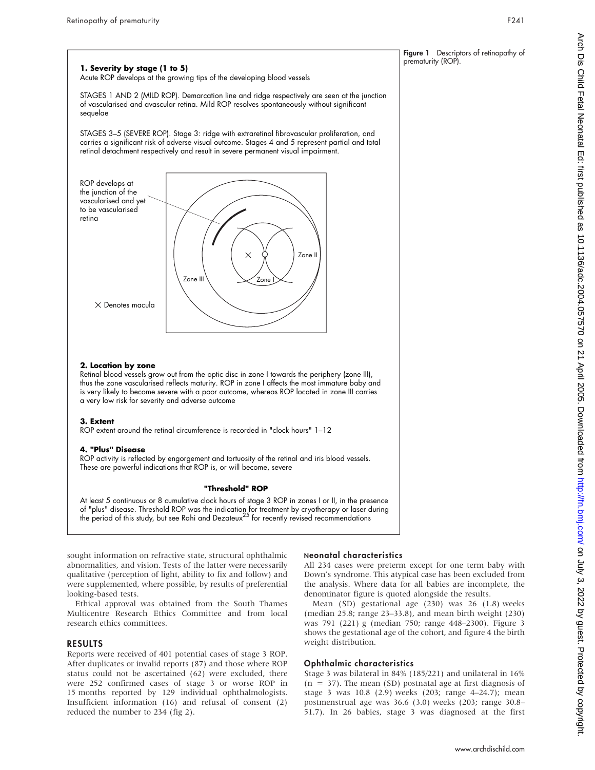

## **2. Location by zone**

Retinal blood vessels grow out from the optic disc in zone I towards the periphery (zone III), thus the zone vascularised reflects maturity. ROP in zone I affects the most immature baby and is very likely to become severe with a poor outcome, whereas ROP located in zone III carries a very low risk for severity and adverse outcome

### **3. Extent**

ROP extent around the retinal circumference is recorded in "clock hours" 1–12

## **4. "Plus" Disease**

ROP activity is reflected by engorgement and tortuosity of the retinal and iris blood vessels. These are powerful indications that ROP is, or will become, severe

#### **"Threshold" ROP**

At least 5 continuous or 8 cumulative clock hours of stage 3 ROP in zones I or II, in the presence of "plus" disease. Threshold ROP was the indication for treatment by cryotherapy or laser during<br>the period of this study, but see Rahi and Dezateux<sup>25</sup> for recently revised recommendations

sought information on refractive state, structural ophthalmic abnormalities, and vision. Tests of the latter were necessarily qualitative (perception of light, ability to fix and follow) and were supplemented, where possible, by results of preferential looking-based tests.

Ethical approval was obtained from the South Thames Multicentre Research Ethics Committee and from local research ethics committees.

## RESULTS

Reports were received of 401 potential cases of stage 3 ROP. After duplicates or invalid reports (87) and those where ROP status could not be ascertained (62) were excluded, there were 252 confirmed cases of stage 3 or worse ROP in 15 months reported by 129 individual ophthalmologists. Insufficient information (16) and refusal of consent (2) reduced the number to 234 (fig 2).

## Neonatal characteristics

All 234 cases were preterm except for one term baby with Down's syndrome. This atypical case has been excluded from the analysis. Where data for all babies are incomplete, the denominator figure is quoted alongside the results.

Mean (SD) gestational age (230) was 26 (1.8) weeks (median 25.8; range 23–33.8), and mean birth weight (230) was 791 (221) g (median 750; range 448–2300). Figure 3 shows the gestational age of the cohort, and figure 4 the birth weight distribution.

## Ophthalmic characteristics

Stage 3 was bilateral in 84% (185/221) and unilateral in 16%  $(n = 37)$ . The mean (SD) postnatal age at first diagnosis of stage 3 was 10.8 (2.9) weeks (203; range 4–24.7); mean postmenstrual age was 36.6 (3.0) weeks (203; range 30.8– 51.7). In 26 babies, stage 3 was diagnosed at the first

prematurity (ROP).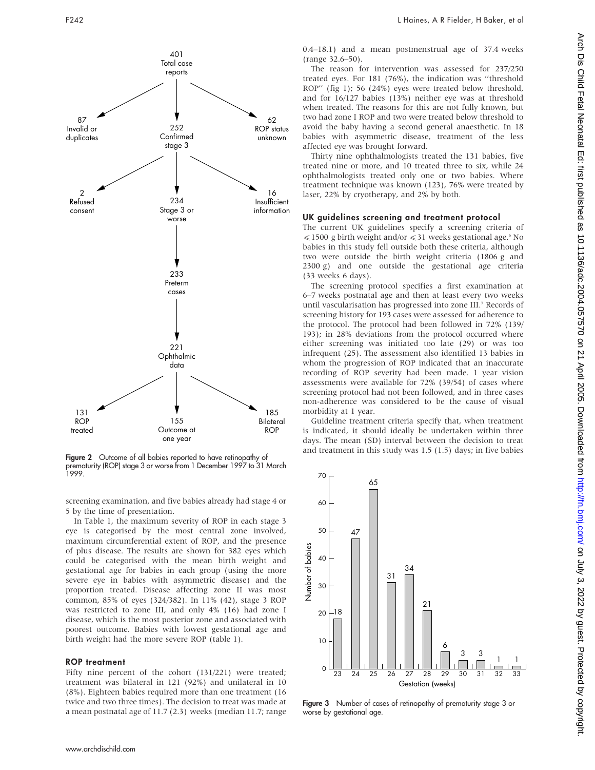

Figure 2 Outcome of all babies reported to have retinopathy of prematurity (ROP) stage 3 or worse from 1 December 1997 to 31 March 1999. 70

screening examination, and five babies already had stage 4 or 5 by the time of presentation.

In Table 1, the maximum severity of ROP in each stage 3 eye is categorised by the most central zone involved, maximum circumferential extent of ROP, and the presence of plus disease. The results are shown for 382 eyes which could be categorised with the mean birth weight and gestational age for babies in each group (using the more severe eye in babies with asymmetric disease) and the proportion treated. Disease affecting zone II was most common, 85% of eyes (324/382). In 11% (42), stage 3 ROP was restricted to zone III, and only 4% (16) had zone I disease, which is the most posterior zone and associated with poorest outcome. Babies with lowest gestational age and birth weight had the more severe ROP (table 1).

## ROP treatment

Fifty nine percent of the cohort (131/221) were treated; treatment was bilateral in 121 (92%) and unilateral in 10 (8%). Eighteen babies required more than one treatment (16 twice and two three times). The decision to treat was made at a mean postnatal age of 11.7 (2.3) weeks (median 11.7; range

0.4–18.1) and a mean postmenstrual age of 37.4 weeks (range 32.6–50).

The reason for intervention was assessed for 237/250 treated eyes. For 181 (76%), the indication was ''threshold ROP'' (fig 1); 56 (24%) eyes were treated below threshold, and for 16/127 babies (13%) neither eye was at threshold when treated. The reasons for this are not fully known, but two had zone I ROP and two were treated below threshold to avoid the baby having a second general anaesthetic. In 18 babies with asymmetric disease, treatment of the less affected eye was brought forward.

Thirty nine ophthalmologists treated the 131 babies, five treated nine or more, and 10 treated three to six, while 24 ophthalmologists treated only one or two babies. Where treatment technique was known (123), 76% were treated by laser, 22% by cryotherapy, and 2% by both.

## UK guidelines screening and treatment protocol

The current UK guidelines specify a screening criteria of  $\leq$  1500 g birth weight and/or  $\leq$  31 weeks gestational age.6 No babies in this study fell outside both these criteria, although two were outside the birth weight criteria (1806 g and 2300 g) and one outside the gestational age criteria (33 weeks 6 days).

The screening protocol specifies a first examination at 6–7 weeks postnatal age and then at least every two weeks until vascularisation has progressed into zone III.7 Records of screening history for 193 cases were assessed for adherence to the protocol. The protocol had been followed in 72% (139/ 193); in 28% deviations from the protocol occurred where either screening was initiated too late (29) or was too infrequent (25). The assessment also identified 13 babies in whom the progression of ROP indicated that an inaccurate recording of ROP severity had been made. 1 year vision assessments were available for 72% (39/54) of cases where screening protocol had not been followed, and in three cases non-adherence was considered to be the cause of visual morbidity at 1 year.

Guideline treatment criteria specify that, when treatment is indicated, it should ideally be undertaken within three days. The mean (SD) interval between the decision to treat and treatment in this study was 1.5 (1.5) days; in five babies

65

60

50 47 Number of babies Number of babies 40 34 31 30 21 18 20 10 6 3 3 1 1  $\Omega$ 23 24 25 26 27 28 29 30 31 32 33 Gestation (weeks)

Figure 3 Number of cases of retinopathy of prematurity stage 3 or worse by gestational age.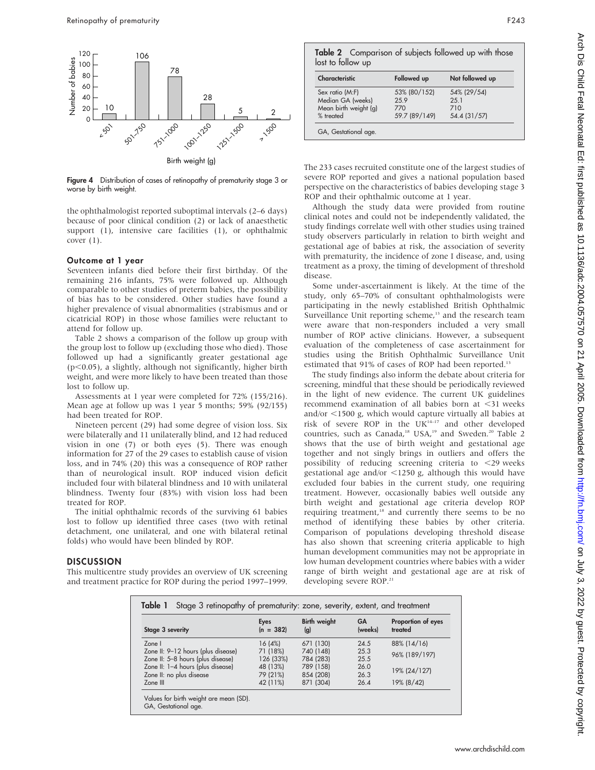

Figure 4 Distribution of cases of retinopathy of prematurity stage 3 or worse by birth weight.

the ophthalmologist reported suboptimal intervals (2–6 days) because of poor clinical condition (2) or lack of anaesthetic support (1), intensive care facilities (1), or ophthalmic cover (1).

## Outcome at 1 year

Seventeen infants died before their first birthday. Of the remaining 216 infants, 75% were followed up. Although comparable to other studies of preterm babies, the possibility of bias has to be considered. Other studies have found a higher prevalence of visual abnormalities (strabismus and or cicatricial ROP) in those whose families were reluctant to attend for follow up.

Table 2 shows a comparison of the follow up group with the group lost to follow up (excluding those who died). Those followed up had a significantly greater gestational age  $(p<0.05)$ , a slightly, although not significantly, higher birth weight, and were more likely to have been treated than those lost to follow up.

Assessments at 1 year were completed for 72% (155/216). Mean age at follow up was 1 year 5 months; 59% (92/155) had been treated for ROP.

Nineteen percent (29) had some degree of vision loss. Six were bilaterally and 11 unilaterally blind, and 12 had reduced vision in one (7) or both eyes (5). There was enough information for 27 of the 29 cases to establish cause of vision loss, and in 74% (20) this was a consequence of ROP rather than of neurological insult. ROP induced vision deficit included four with bilateral blindness and 10 with unilateral blindness. Twenty four (83%) with vision loss had been treated for ROP.

The initial ophthalmic records of the surviving 61 babies lost to follow up identified three cases (two with retinal detachment, one unilateral, and one with bilateral retinal folds) who would have been blinded by ROP.

## DISCUSSION

This multicentre study provides an overview of UK screening and treatment practice for ROP during the period 1997–1999.

Table 2 Comparison of subjects followed up with those lost to follow up

| Characteristic        | Followed up   | Not followed up |
|-----------------------|---------------|-----------------|
| Sex ratio (M:F)       | 53% (80/152)  | 54% (29/54)     |
| Median GA (weeks)     | 259           | 2.51            |
| Mean birth weight (g) | 770           | 710             |
| % treated             | 59.7 (89/149) | 54.4 (31/57)    |

The 233 cases recruited constitute one of the largest studies of severe ROP reported and gives a national population based perspective on the characteristics of babies developing stage 3 ROP and their ophthalmic outcome at 1 year.

Although the study data were provided from routine clinical notes and could not be independently validated, the study findings correlate well with other studies using trained study observers particularly in relation to birth weight and gestational age of babies at risk, the association of severity with prematurity, the incidence of zone I disease, and, using treatment as a proxy, the timing of development of threshold disease.

Some under-ascertainment is likely. At the time of the study, only 65–70% of consultant ophthalmologists were participating in the newly established British Ophthalmic Surveillance Unit reporting scheme,<sup>13</sup> and the research team were aware that non-responders included a very small number of ROP active clinicians. However, a subsequent evaluation of the completeness of case ascertainment for studies using the British Ophthalmic Surveillance Unit estimated that 91% of cases of ROP had been reported.<sup>13</sup>

The study findings also inform the debate about criteria for screening, mindful that these should be periodically reviewed in the light of new evidence. The current UK guidelines recommend examination of all babies born at <31 weeks and/or  $\leq$ 1500 g, which would capture virtually all babies at risk of severe ROP in the UK14–17 and other developed countries, such as Canada,<sup>18</sup> USA,<sup>19</sup> and Sweden.<sup>20</sup> Table 2 shows that the use of birth weight and gestational age together and not singly brings in outliers and offers the possibility of reducing screening criteria to  $\langle 29 \rangle$  weeks gestational age and/or  $\langle 1250 \text{ g}$ , although this would have excluded four babies in the current study, one requiring treatment. However, occasionally babies well outside any birth weight and gestational age criteria develop ROP requiring treatment,<sup>18</sup> and currently there seems to be no method of identifying these babies by other criteria. Comparison of populations developing threshold disease has also shown that screening criteria applicable to high human development communities may not be appropriate in low human development countries where babies with a wider range of birth weight and gestational age are at risk of developing severe ROP.<sup>21</sup>

| Stage 3 severity                   | Eyes<br>$(n = 382)$ | <b>Birth weight</b><br>(g) | GA<br>(weeks) | Proportion of eyes<br>treated |
|------------------------------------|---------------------|----------------------------|---------------|-------------------------------|
| Zone I                             | 16(4%)              | 671 (130)                  | 24.5          | 88% (14/16)                   |
| Zone II: 9-12 hours (plus disease) | 71 (18%)            | 740 (148)                  | 25.3          | 96% (189/197)                 |
| Zone II: 5-8 hours (plus disease)  | 126 (33%)           | 784 (283)                  | 25.5          |                               |
| Zone II: 1-4 hours (plus disease)  | 48 (13%)            | 789 (158)                  | 26.0          | 19% (24/127)                  |
| Zone II: no plus disease           | 79 (21%)            | 854 (208)                  | 26.3          |                               |
| Zone III                           | 42 (11%)            | 871 (304)                  | 26.4          | 19% (8/42)                    |